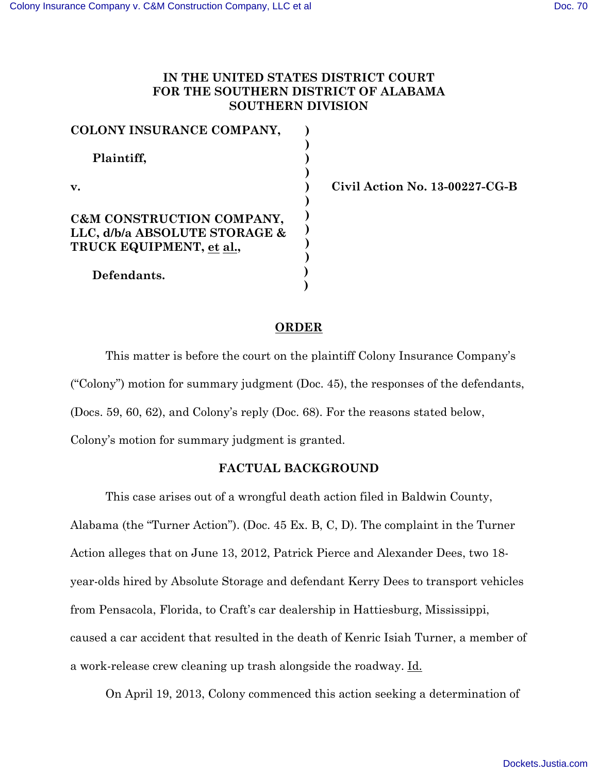# **IN THE UNITED STATES DISTRICT COURT FOR THE SOUTHERN DISTRICT OF ALABAMA SOUTHERN DIVISION**

| COLONY INSURANCE COMPANY,     |  |
|-------------------------------|--|
| Plaintiff,<br>v.              |  |
|                               |  |
|                               |  |
|                               |  |
|                               |  |
| C&M CONSTRUCTION COMPANY,     |  |
| LLC, d/b/a ABSOLUTE STORAGE & |  |
| TRUCK EQUIPMENT, et al.,      |  |
|                               |  |
| Defendants.                   |  |
|                               |  |

**v. Civil Action No. 13-00227-CG-B**

# **ORDER**

This matter is before the court on the plaintiff Colony Insurance Company's ("Colony") motion for summary judgment (Doc. 45), the responses of the defendants, (Docs. 59, 60, 62), and Colony's reply (Doc. 68). For the reasons stated below, Colony's motion for summary judgment is granted.

### **FACTUAL BACKGROUND**

This case arises out of a wrongful death action filed in Baldwin County, Alabama (the "Turner Action"). (Doc. 45 Ex. B, C, D). The complaint in the Turner Action alleges that on June 13, 2012, Patrick Pierce and Alexander Dees, two 18 year-olds hired by Absolute Storage and defendant Kerry Dees to transport vehicles from Pensacola, Florida, to Craft's car dealership in Hattiesburg, Mississippi, caused a car accident that resulted in the death of Kenric Isiah Turner, a member of a work-release crew cleaning up trash alongside the roadway. Id.

On April 19, 2013, Colony commenced this action seeking a determination of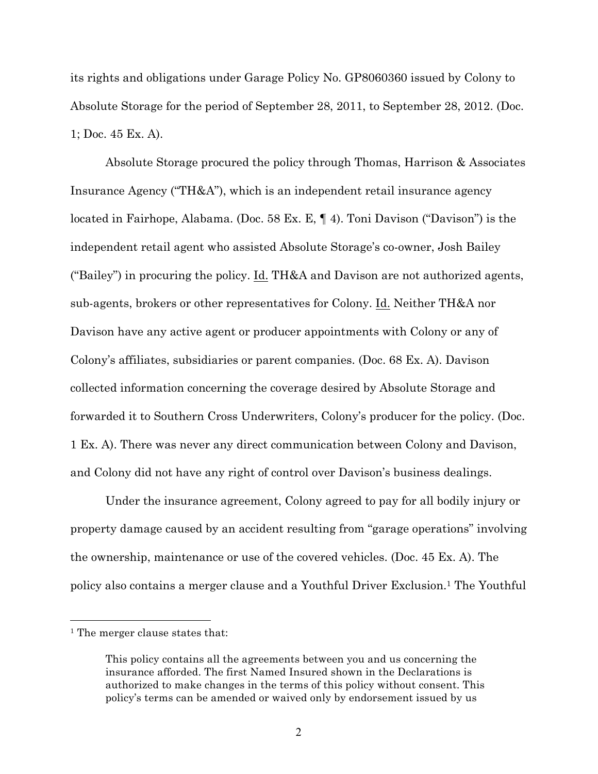its rights and obligations under Garage Policy No. GP8060360 issued by Colony to Absolute Storage for the period of September 28, 2011, to September 28, 2012. (Doc. 1; Doc. 45 Ex. A).

Absolute Storage procured the policy through Thomas, Harrison & Associates Insurance Agency ("TH&A"), which is an independent retail insurance agency located in Fairhope, Alabama. (Doc. 58 Ex. E, ¶ 4). Toni Davison ("Davison") is the independent retail agent who assisted Absolute Storage's co-owner, Josh Bailey ("Bailey") in procuring the policy. Id. TH&A and Davison are not authorized agents, sub-agents, brokers or other representatives for Colony. Id. Neither TH&A nor Davison have any active agent or producer appointments with Colony or any of Colony's affiliates, subsidiaries or parent companies. (Doc. 68 Ex. A). Davison collected information concerning the coverage desired by Absolute Storage and forwarded it to Southern Cross Underwriters, Colony's producer for the policy. (Doc. 1 Ex. A). There was never any direct communication between Colony and Davison, and Colony did not have any right of control over Davison's business dealings.

Under the insurance agreement, Colony agreed to pay for all bodily injury or property damage caused by an accident resulting from "garage operations" involving the ownership, maintenance or use of the covered vehicles. (Doc. 45 Ex. A). The policy also contains a merger clause and a Youthful Driver Exclusion.1 The Youthful

 $\overline{a}$ 

<sup>&</sup>lt;sup>1</sup> The merger clause states that:

This policy contains all the agreements between you and us concerning the insurance afforded. The first Named Insured shown in the Declarations is authorized to make changes in the terms of this policy without consent. This policy's terms can be amended or waived only by endorsement issued by us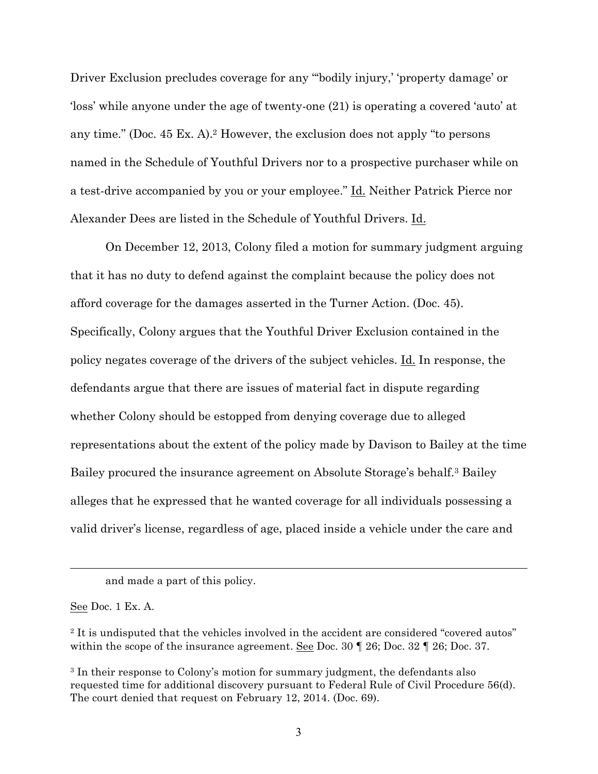Driver Exclusion precludes coverage for any "'bodily injury,' 'property damage' or 'loss' while anyone under the age of twenty-one (21) is operating a covered 'auto' at any time." (Doc. 45 Ex. A).2 However, the exclusion does not apply "to persons named in the Schedule of Youthful Drivers nor to a prospective purchaser while on a test-drive accompanied by you or your employee." Id. Neither Patrick Pierce nor Alexander Dees are listed in the Schedule of Youthful Drivers. Id.

On December 12, 2013, Colony filed a motion for summary judgment arguing that it has no duty to defend against the complaint because the policy does not afford coverage for the damages asserted in the Turner Action. (Doc. 45). Specifically, Colony argues that the Youthful Driver Exclusion contained in the policy negates coverage of the drivers of the subject vehicles. Id. In response, the defendants argue that there are issues of material fact in dispute regarding whether Colony should be estopped from denying coverage due to alleged representations about the extent of the policy made by Davison to Bailey at the time Bailey procured the insurance agreement on Absolute Storage's behalf.3 Bailey alleges that he expressed that he wanted coverage for all individuals possessing a valid driver's license, regardless of age, placed inside a vehicle under the care and

See Doc. 1 Ex. A.

 $\overline{a}$ 

and made a part of this policy.

<sup>&</sup>lt;sup>2</sup> It is undisputed that the vehicles involved in the accident are considered "covered autos" within the scope of the insurance agreement. See Doc. 30  $\parallel$  26; Doc. 32  $\parallel$  26; Doc. 37.

<sup>3</sup> In their response to Colony's motion for summary judgment, the defendants also requested time for additional discovery pursuant to Federal Rule of Civil Procedure 56(d). The court denied that request on February 12, 2014. (Doc. 69).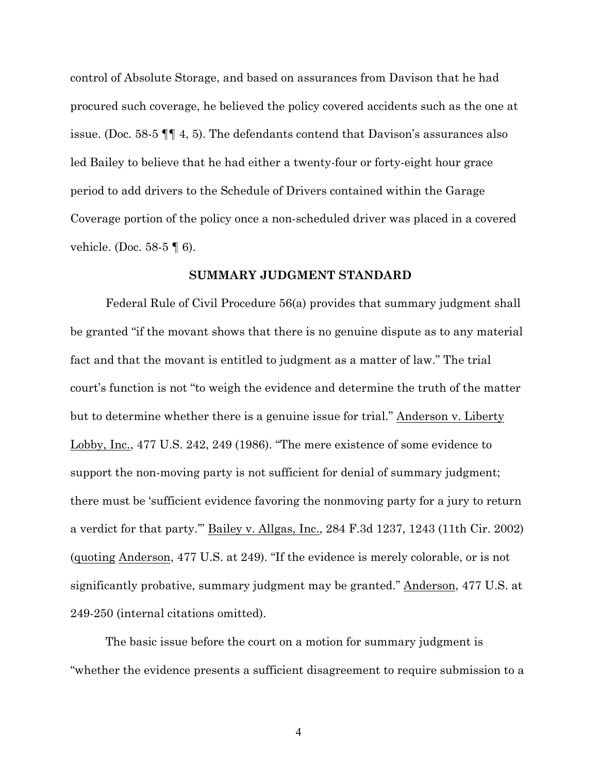control of Absolute Storage, and based on assurances from Davison that he had procured such coverage, he believed the policy covered accidents such as the one at issue. (Doc. 58-5 ¶¶ 4, 5). The defendants contend that Davison's assurances also led Bailey to believe that he had either a twenty-four or forty-eight hour grace period to add drivers to the Schedule of Drivers contained within the Garage Coverage portion of the policy once a non-scheduled driver was placed in a covered vehicle. (Doc. 58-5 ¶ 6).

#### **SUMMARY JUDGMENT STANDARD**

Federal Rule of Civil Procedure 56(a) provides that summary judgment shall be granted "if the movant shows that there is no genuine dispute as to any material fact and that the movant is entitled to judgment as a matter of law." The trial court's function is not "to weigh the evidence and determine the truth of the matter but to determine whether there is a genuine issue for trial." Anderson v. Liberty Lobby, Inc., 477 U.S. 242, 249 (1986). "The mere existence of some evidence to support the non-moving party is not sufficient for denial of summary judgment; there must be 'sufficient evidence favoring the nonmoving party for a jury to return a verdict for that party.'" Bailey v. Allgas, Inc., 284 F.3d 1237, 1243 (11th Cir. 2002) (quoting Anderson, 477 U.S. at 249). "If the evidence is merely colorable, or is not significantly probative, summary judgment may be granted." Anderson, 477 U.S. at 249-250 (internal citations omitted).

The basic issue before the court on a motion for summary judgment is "whether the evidence presents a sufficient disagreement to require submission to a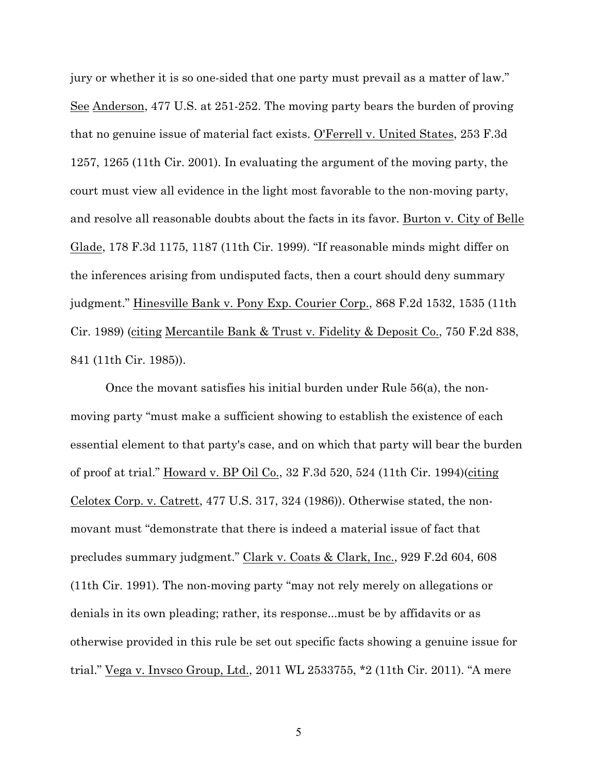jury or whether it is so one-sided that one party must prevail as a matter of law." See Anderson, 477 U.S. at 251-252. The moving party bears the burden of proving that no genuine issue of material fact exists. O'Ferrell v. United States, 253 F.3d 1257, 1265 (11th Cir. 2001). In evaluating the argument of the moving party, the court must view all evidence in the light most favorable to the non-moving party, and resolve all reasonable doubts about the facts in its favor. Burton v. City of Belle Glade, 178 F.3d 1175, 1187 (11th Cir. 1999). "If reasonable minds might differ on the inferences arising from undisputed facts, then a court should deny summary judgment." Hinesville Bank v. Pony Exp. Courier Corp., 868 F.2d 1532, 1535 (11th Cir. 1989) (citing Mercantile Bank & Trust v. Fidelity & Deposit Co., 750 F.2d 838, 841 (11th Cir. 1985)).

Once the movant satisfies his initial burden under Rule 56(a), the nonmoving party "must make a sufficient showing to establish the existence of each essential element to that party's case, and on which that party will bear the burden of proof at trial." Howard v. BP Oil Co., 32 F.3d 520, 524 (11th Cir. 1994)(citing Celotex Corp. v. Catrett, 477 U.S. 317, 324 (1986)). Otherwise stated, the nonmovant must "demonstrate that there is indeed a material issue of fact that precludes summary judgment." Clark v. Coats & Clark, Inc., 929 F.2d 604, 608 (11th Cir. 1991). The non-moving party "may not rely merely on allegations or denials in its own pleading; rather, its response...must be by affidavits or as otherwise provided in this rule be set out specific facts showing a genuine issue for trial." Vega v. Invsco Group, Ltd., 2011 WL 2533755, \*2 (11th Cir. 2011). "A mere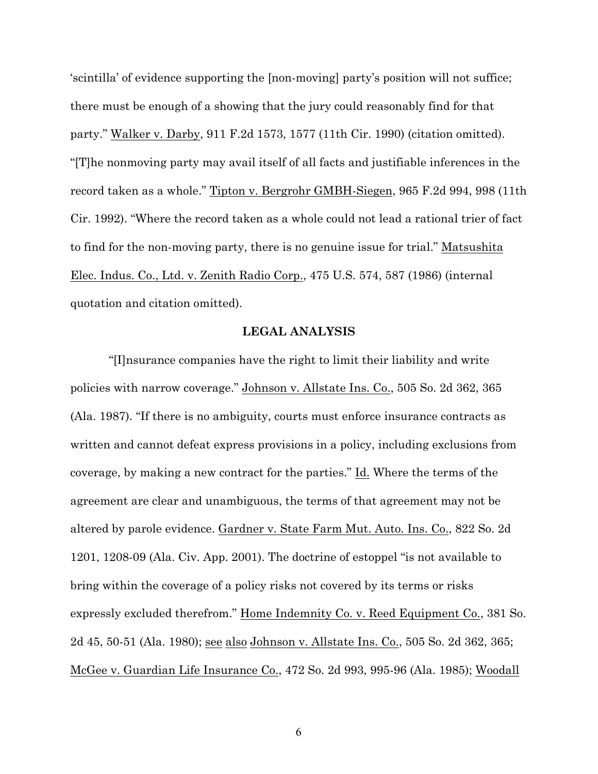'scintilla' of evidence supporting the [non-moving] party's position will not suffice; there must be enough of a showing that the jury could reasonably find for that party." Walker v. Darby, 911 F.2d 1573, 1577 (11th Cir. 1990) (citation omitted). "[T]he nonmoving party may avail itself of all facts and justifiable inferences in the record taken as a whole." Tipton v. Bergrohr GMBH-Siegen, 965 F.2d 994, 998 (11th Cir. 1992). "Where the record taken as a whole could not lead a rational trier of fact to find for the non-moving party, there is no genuine issue for trial." Matsushita Elec. Indus. Co., Ltd. v. Zenith Radio Corp., 475 U.S. 574, 587 (1986) (internal quotation and citation omitted).

#### **LEGAL ANALYSIS**

"[I]nsurance companies have the right to limit their liability and write policies with narrow coverage." Johnson v. Allstate Ins. Co., 505 So. 2d 362, 365 (Ala. 1987). "If there is no ambiguity, courts must enforce insurance contracts as written and cannot defeat express provisions in a policy, including exclusions from coverage, by making a new contract for the parties." Id. Where the terms of the agreement are clear and unambiguous, the terms of that agreement may not be altered by parole evidence. Gardner v. State Farm Mut. Auto. Ins. Co., 822 So. 2d 1201, 1208-09 (Ala. Civ. App. 2001). The doctrine of estoppel "is not available to bring within the coverage of a policy risks not covered by its terms or risks expressly excluded therefrom." <u>Home Indemnity Co. v. Reed Equipment Co.</u>, 381 So. 2d 45, 50-51 (Ala. 1980); see also Johnson v. Allstate Ins. Co., 505 So. 2d 362, 365; McGee v. Guardian Life Insurance Co., 472 So. 2d 993, 995-96 (Ala. 1985); Woodall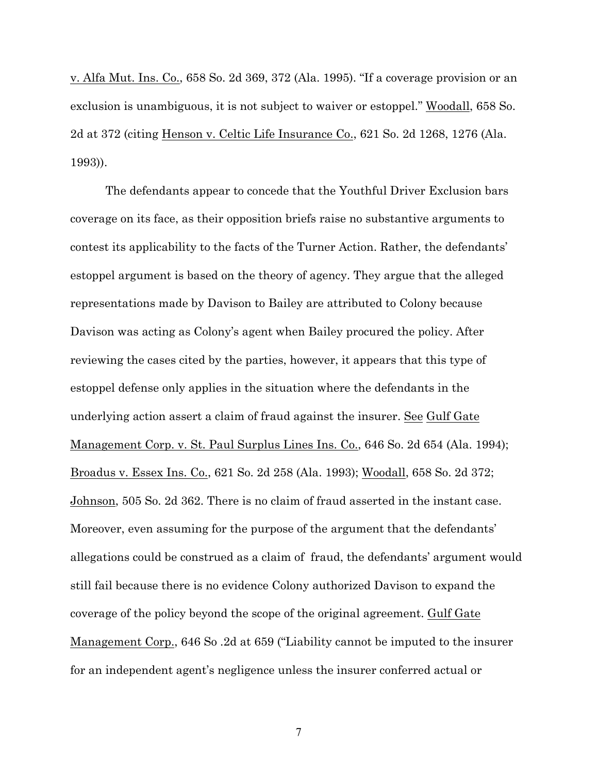v. Alfa Mut. Ins. Co., 658 So. 2d 369, 372 (Ala. 1995). "If a coverage provision or an exclusion is unambiguous, it is not subject to waiver or estoppel." Woodall, 658 So. 2d at 372 (citing Henson v. Celtic Life Insurance Co., 621 So. 2d 1268, 1276 (Ala. 1993)).

The defendants appear to concede that the Youthful Driver Exclusion bars coverage on its face, as their opposition briefs raise no substantive arguments to contest its applicability to the facts of the Turner Action. Rather, the defendants' estoppel argument is based on the theory of agency. They argue that the alleged representations made by Davison to Bailey are attributed to Colony because Davison was acting as Colony's agent when Bailey procured the policy. After reviewing the cases cited by the parties, however, it appears that this type of estoppel defense only applies in the situation where the defendants in the underlying action assert a claim of fraud against the insurer. See Gulf Gate Management Corp. v. St. Paul Surplus Lines Ins. Co., 646 So. 2d 654 (Ala. 1994); Broadus v. Essex Ins. Co., 621 So. 2d 258 (Ala. 1993); Woodall, 658 So. 2d 372; Johnson, 505 So. 2d 362. There is no claim of fraud asserted in the instant case. Moreover, even assuming for the purpose of the argument that the defendants' allegations could be construed as a claim of fraud, the defendants' argument would still fail because there is no evidence Colony authorized Davison to expand the coverage of the policy beyond the scope of the original agreement. Gulf Gate Management Corp., 646 So .2d at 659 ("Liability cannot be imputed to the insurer for an independent agent's negligence unless the insurer conferred actual or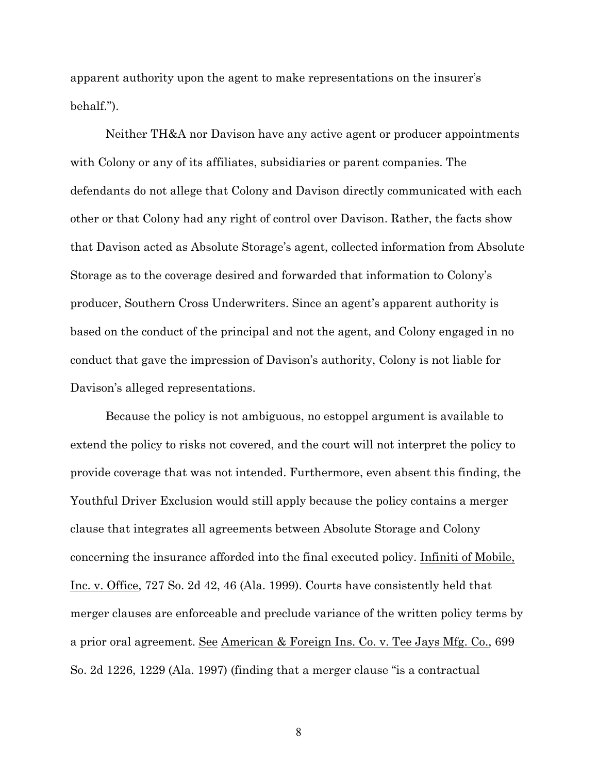apparent authority upon the agent to make representations on the insurer's behalf.").

Neither TH&A nor Davison have any active agent or producer appointments with Colony or any of its affiliates, subsidiaries or parent companies. The defendants do not allege that Colony and Davison directly communicated with each other or that Colony had any right of control over Davison. Rather, the facts show that Davison acted as Absolute Storage's agent, collected information from Absolute Storage as to the coverage desired and forwarded that information to Colony's producer, Southern Cross Underwriters. Since an agent's apparent authority is based on the conduct of the principal and not the agent, and Colony engaged in no conduct that gave the impression of Davison's authority, Colony is not liable for Davison's alleged representations.

Because the policy is not ambiguous, no estoppel argument is available to extend the policy to risks not covered, and the court will not interpret the policy to provide coverage that was not intended. Furthermore, even absent this finding, the Youthful Driver Exclusion would still apply because the policy contains a merger clause that integrates all agreements between Absolute Storage and Colony concerning the insurance afforded into the final executed policy. Infiniti of Mobile, Inc. v. Office, 727 So. 2d 42, 46 (Ala. 1999). Courts have consistently held that merger clauses are enforceable and preclude variance of the written policy terms by a prior oral agreement. See American & Foreign Ins. Co. v. Tee Jays Mfg. Co., 699 So. 2d 1226, 1229 (Ala. 1997) (finding that a merger clause "is a contractual